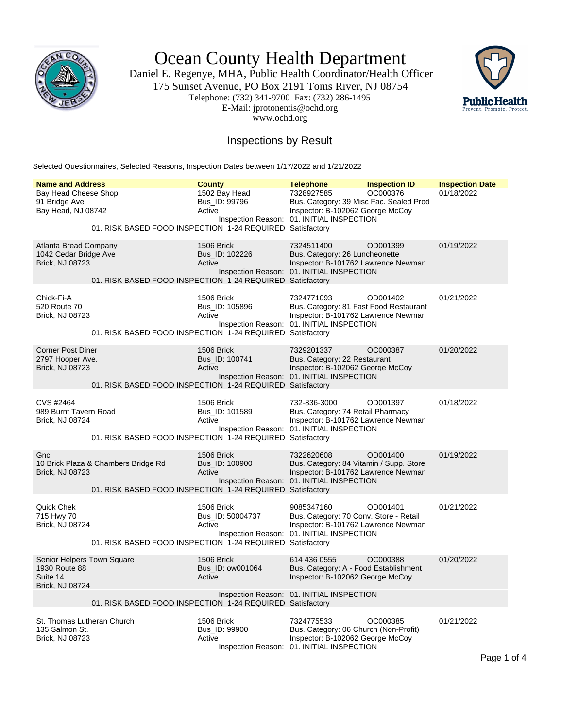

Ocean County Health Department

Daniel E. Regenye, MHA, Public Health Coordinator/Health Officer 175 Sunset Avenue, PO Box 2191 Toms River, NJ 08754 Telephone: (732) 341-9700 Fax: (732) 286-1495 E-Mail: jprotonentis@ochd.org www.ochd.org



## Inspections by Result

Selected Questionnaires, Selected Reasons, Inspection Dates between 1/17/2022 and 1/21/2022

| <b>Name and Address</b>                                                           | <b>County</b>                                                                                         | <b>Telephone</b>                                                                          | <b>Inspection ID</b>                                                                       | <b>Inspection Date</b> |
|-----------------------------------------------------------------------------------|-------------------------------------------------------------------------------------------------------|-------------------------------------------------------------------------------------------|--------------------------------------------------------------------------------------------|------------------------|
| Bay Head Cheese Shop<br>91 Bridge Ave.<br>Bay Head, NJ 08742                      | 1502 Bay Head<br>Bus ID: 99796<br>Active<br>01. RISK BASED FOOD INSPECTION 1-24 REQUIRED Satisfactory | 7328927585<br>Inspection Reason: 01. INITIAL INSPECTION                                   | OC000376<br>Bus. Category: 39 Misc Fac. Sealed Prod<br>Inspector: B-102062 George McCoy    | 01/18/2022             |
| Atlanta Bread Company<br>1042 Cedar Bridge Ave<br><b>Brick, NJ 08723</b>          | 1506 Brick<br>Bus_ID: 102226<br>Active<br>01. RISK BASED FOOD INSPECTION 1-24 REQUIRED Satisfactory   | 7324511400<br>Bus. Category: 26 Luncheonette<br>Inspection Reason: 01. INITIAL INSPECTION | OD001399<br>Inspector: B-101762 Lawrence Newman                                            | 01/19/2022             |
| Chick-Fi-A<br>520 Route 70<br><b>Brick, NJ 08723</b>                              | 1506 Brick<br>Bus_ID: 105896<br>Active<br>01. RISK BASED FOOD INSPECTION 1-24 REQUIRED Satisfactory   | 7324771093<br>Inspection Reason: 01. INITIAL INSPECTION                                   | OD001402<br>Bus. Category: 81 Fast Food Restaurant<br>Inspector: B-101762 Lawrence Newman  | 01/21/2022             |
| <b>Corner Post Diner</b><br>2797 Hooper Ave.<br>Brick, NJ 08723                   | 1506 Brick<br>Bus_ID: 100741<br>Active<br>01. RISK BASED FOOD INSPECTION 1-24 REQUIRED Satisfactory   | 7329201337<br>Bus. Category: 22 Restaurant<br>Inspection Reason: 01. INITIAL INSPECTION   | OC000387<br>Inspector: B-102062 George McCoy                                               | 01/20/2022             |
| CVS #2464<br>989 Burnt Tavern Road<br>Brick, NJ 08724                             | 1506 Brick<br>Bus_ID: 101589<br>Active<br>01. RISK BASED FOOD INSPECTION 1-24 REQUIRED Satisfactory   | 732-836-3000<br>Inspection Reason: 01. INITIAL INSPECTION                                 | OD001397<br>Bus. Category: 74 Retail Pharmacy<br>Inspector: B-101762 Lawrence Newman       | 01/18/2022             |
| Gnc<br>10 Brick Plaza & Chambers Bridge Rd<br><b>Brick, NJ 08723</b>              | 1506 Brick<br>Bus ID: 100900<br>Active<br>01. RISK BASED FOOD INSPECTION 1-24 REQUIRED Satisfactory   | 7322620608<br>Inspection Reason: 01. INITIAL INSPECTION                                   | OD001400<br>Bus. Category: 84 Vitamin / Supp. Store<br>Inspector: B-101762 Lawrence Newman | 01/19/2022             |
| Quick Chek<br>715 Hwy 70<br>Brick, NJ 08724                                       | 1506 Brick<br>Bus_ID: 50004737<br>Active<br>01. RISK BASED FOOD INSPECTION 1-24 REQUIRED Satisfactory | 9085347160<br>Inspection Reason: 01. INITIAL INSPECTION                                   | OD001401<br>Bus. Category: 70 Conv. Store - Retail<br>Inspector: B-101762 Lawrence Newman  | 01/21/2022             |
| Senior Helpers Town Square<br>1930 Route 88<br>Suite 14<br><b>Brick, NJ 08724</b> | 1506 Brick<br>Bus ID: ow001064<br>Active<br>01. RISK BASED FOOD INSPECTION 1-24 REQUIRED Satisfactory | 614 436 0555<br>Inspection Reason: 01. INITIAL INSPECTION                                 | OC000388<br>Bus. Category: A - Food Establishment<br>Inspector: B-102062 George McCoy      | 01/20/2022             |
| St. Thomas Lutheran Church<br>135 Salmon St.<br>Brick, NJ 08723                   | 1506 Brick<br>Bus_ID: 99900<br>Active                                                                 | 7324775533<br>Inspection Reason: 01. INITIAL INSPECTION                                   | OC000385<br>Bus. Category: 06 Church (Non-Profit)<br>Inspector: B-102062 George McCoy      | 01/21/2022             |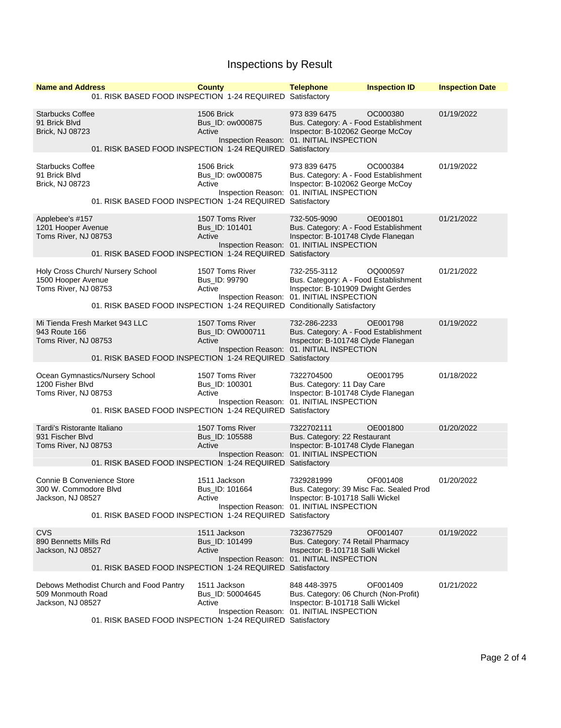## Inspections by Result

| <b>Name and Address</b>                                                  |                                                                                                              | <b>County</b>                               | <b>Telephone</b>                                                                                                                                       | <b>Inspection ID</b> | <b>Inspection Date</b> |
|--------------------------------------------------------------------------|--------------------------------------------------------------------------------------------------------------|---------------------------------------------|--------------------------------------------------------------------------------------------------------------------------------------------------------|----------------------|------------------------|
|                                                                          | 01. RISK BASED FOOD INSPECTION 1-24 REQUIRED Satisfactory                                                    |                                             |                                                                                                                                                        |                      |                        |
| <b>Starbucks Coffee</b><br>91 Brick Blvd<br><b>Brick, NJ 08723</b>       | 01. RISK BASED FOOD INSPECTION 1-24 REQUIRED Satisfactory                                                    | 1506 Brick<br>Bus_ID: ow000875<br>Active    | 973 839 6475<br>Bus. Category: A - Food Establishment<br>Inspector: B-102062 George McCoy<br>Inspection Reason: 01. INITIAL INSPECTION                 | OC000380             | 01/19/2022             |
|                                                                          |                                                                                                              |                                             |                                                                                                                                                        |                      |                        |
| <b>Starbucks Coffee</b><br>91 Brick Blvd<br><b>Brick, NJ 08723</b>       | 01. RISK BASED FOOD INSPECTION 1-24 REQUIRED                                                                 | 1506 Brick<br>Bus ID: ow000875<br>Active    | 973 839 6475<br>Bus. Category: A - Food Establishment<br>Inspector: B-102062 George McCoy<br>Inspection Reason: 01. INITIAL INSPECTION<br>Satisfactory | OC000384             | 01/19/2022             |
| Applebee's #157<br>1201 Hooper Avenue<br>Toms River, NJ 08753            | 01. RISK BASED FOOD INSPECTION 1-24 REQUIRED Satisfactory                                                    | 1507 Toms River<br>Bus_ID: 101401<br>Active | 732-505-9090<br>Bus. Category: A - Food Establishment<br>Inspector: B-101748 Clyde Flanegan<br>Inspection Reason: 01. INITIAL INSPECTION               | OE001801             | 01/21/2022             |
|                                                                          |                                                                                                              |                                             |                                                                                                                                                        |                      |                        |
| 1500 Hooper Avenue<br>Toms River, NJ 08753                               | Holy Cross Church/ Nursery School<br>01. RISK BASED FOOD INSPECTION 1-24 REQUIRED Conditionally Satisfactory | 1507 Toms River<br>Bus_ID: 99790<br>Active  | 732-255-3112<br>Bus. Category: A - Food Establishment<br>Inspector: B-101909 Dwight Gerdes<br>Inspection Reason: 01. INITIAL INSPECTION                | OQ000597             | 01/21/2022             |
| Mi Tienda Fresh Market 943 LLC                                           |                                                                                                              | 1507 Toms River                             | 732-286-2233                                                                                                                                           | OE001798             | 01/19/2022             |
| 943 Route 166<br>Toms River, NJ 08753                                    | 01. RISK BASED FOOD INSPECTION 1-24 REQUIRED Satisfactory                                                    | Bus_ID: OW000711<br>Active                  | Bus. Category: A - Food Establishment<br>Inspector: B-101748 Clyde Flanegan<br>Inspection Reason: 01. INITIAL INSPECTION                               |                      |                        |
|                                                                          |                                                                                                              |                                             |                                                                                                                                                        |                      |                        |
| 1200 Fisher Blvd<br>Toms River, NJ 08753                                 | Ocean Gymnastics/Nursery School                                                                              | 1507 Toms River<br>Bus_ID: 100301<br>Active | 7322704500<br>Bus. Category: 11 Day Care<br>Inspector: B-101748 Clyde Flanegan<br>Inspection Reason: 01. INITIAL INSPECTION                            | OE001795             | 01/18/2022             |
|                                                                          | 01. RISK BASED FOOD INSPECTION 1-24 REQUIRED                                                                 |                                             | Satisfactory                                                                                                                                           |                      |                        |
| Tardi's Ristorante Italiano<br>931 Fischer Blvd<br>Toms River, NJ 08753  | 01. RISK BASED FOOD INSPECTION 1-24 REQUIRED Satisfactory                                                    | 1507 Toms River<br>Bus ID: 105588<br>Active | 7322702111<br>Bus. Category: 22 Restaurant<br>Inspector: B-101748 Clyde Flanegan<br>Inspection Reason: 01. INITIAL INSPECTION                          | OE001800             | 01/20/2022             |
|                                                                          |                                                                                                              |                                             |                                                                                                                                                        |                      |                        |
| Connie B Convenience Store<br>300 W. Commodore Blvd<br>Jackson, NJ 08527 |                                                                                                              | 1511 Jackson<br>Bus_ID: 101664<br>Active    | 7329281999<br>Bus. Category: 39 Misc Fac. Sealed Prod<br>Inspector: B-101718 Salli Wickel<br>Inspection Reason: 01. INITIAL INSPECTION                 | OF001408             | 01/20/2022             |
|                                                                          | 01. RISK BASED FOOD INSPECTION 1-24 REQUIRED Satisfactory                                                    |                                             |                                                                                                                                                        |                      |                        |
| <b>CVS</b><br>890 Bennetts Mills Rd<br>Jackson, NJ 08527                 |                                                                                                              | 1511 Jackson<br>Bus_ID: 101499<br>Active    | 7323677529<br>Bus. Category: 74 Retail Pharmacy<br>Inspector: B-101718 Salli Wickel<br>Inspection Reason: 01. INITIAL INSPECTION                       | OF001407             | 01/19/2022             |
| 01. RISK BASED FOOD INSPECTION 1-24 REQUIRED Satisfactory                |                                                                                                              |                                             |                                                                                                                                                        |                      |                        |
| 509 Monmouth Road<br>Jackson, NJ 08527                                   | Debows Methodist Church and Food Pantry                                                                      | 1511 Jackson<br>Bus ID: 50004645<br>Active  | 848 448-3975<br>Bus. Category: 06 Church (Non-Profit)<br>Inspector: B-101718 Salli Wickel<br>Inspection Reason: 01. INITIAL INSPECTION                 | OF001409             | 01/21/2022             |
|                                                                          | 01. RISK BASED FOOD INSPECTION 1-24 REQUIRED Satisfactory                                                    |                                             |                                                                                                                                                        |                      |                        |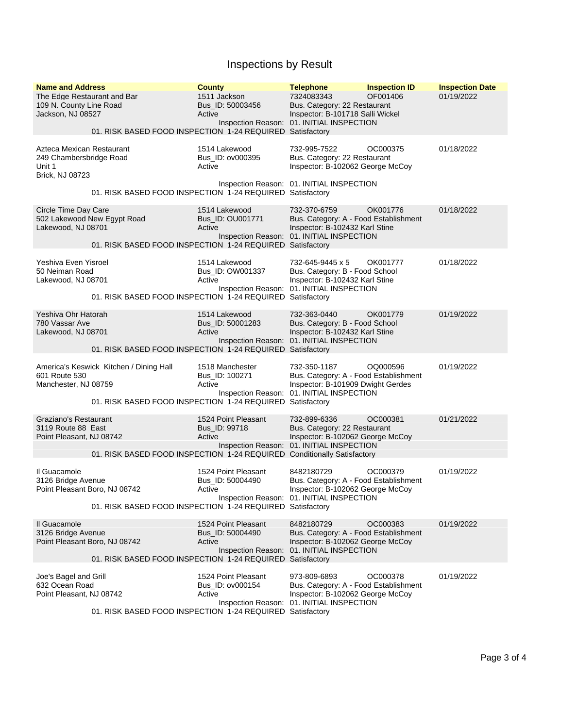## Inspections by Result

| <b>Name and Address</b><br>The Edge Restaurant and Bar<br>109 N. County Line Road<br>Jackson, NJ 08527 |                                         | <b>County</b><br>1511 Jackson<br>Bus_ID: 50003456<br>Active<br>01. RISK BASED FOOD INSPECTION 1-24 REQUIRED Satisfactory  | <b>Telephone</b><br>7324083343<br>Bus. Category: 22 Restaurant<br>Inspector: B-101718 Salli Wickel<br>Inspection Reason: 01. INITIAL INSPECTION         | <b>Inspection ID</b><br>OF001406 | <b>Inspection Date</b><br>01/19/2022 |
|--------------------------------------------------------------------------------------------------------|-----------------------------------------|---------------------------------------------------------------------------------------------------------------------------|---------------------------------------------------------------------------------------------------------------------------------------------------------|----------------------------------|--------------------------------------|
| Azteca Mexican Restaurant<br>249 Chambersbridge Road<br>Unit 1<br>Brick, NJ 08723                      |                                         | 1514 Lakewood<br>Bus_ID: ov000395<br>Active                                                                               | 732-995-7522<br>Bus. Category: 22 Restaurant<br>Inspector: B-102062 George McCoy                                                                        | OC000375                         | 01/18/2022                           |
|                                                                                                        |                                         | 01. RISK BASED FOOD INSPECTION 1-24 REQUIRED Satisfactory                                                                 | Inspection Reason: 01. INITIAL INSPECTION                                                                                                               |                                  |                                      |
| Circle Time Day Care<br>502 Lakewood New Egypt Road<br>Lakewood, NJ 08701                              |                                         | 1514 Lakewood<br>Bus_ID: OU001771<br>Active<br>01. RISK BASED FOOD INSPECTION 1-24 REQUIRED Satisfactory                  | 732-370-6759<br>Bus. Category: A - Food Establishment<br>Inspector: B-102432 Karl Stine<br>Inspection Reason: 01. INITIAL INSPECTION                    | OK001776                         | 01/18/2022                           |
| Yeshiva Even Yisroel<br>50 Neiman Road<br>Lakewood, NJ 08701                                           |                                         | 1514 Lakewood<br>Bus ID: OW001337<br>Active<br>01. RISK BASED FOOD INSPECTION 1-24 REQUIRED Satisfactory                  | 732-645-9445 x 5<br>Bus. Category: B - Food School<br>Inspector: B-102432 Karl Stine<br>Inspection Reason: 01. INITIAL INSPECTION                       | OK001777                         | 01/18/2022                           |
| Yeshiva Ohr Hatorah<br>780 Vassar Ave<br>Lakewood, NJ 08701                                            |                                         | 1514 Lakewood<br>Bus ID: 50001283<br>Active<br>01. RISK BASED FOOD INSPECTION 1-24 REQUIRED Satisfactory                  | 732-363-0440<br>Bus. Category: B - Food School<br>Inspector: B-102432 Karl Stine<br>Inspection Reason: 01. INITIAL INSPECTION                           | OK001779                         | 01/19/2022                           |
| 601 Route 530<br>Manchester, NJ 08759                                                                  | America's Keswick Kitchen / Dining Hall | 1518 Manchester<br>Bus_ID: 100271<br>Active<br>01. RISK BASED FOOD INSPECTION 1-24 REQUIRED                               | 732-350-1187<br>Bus. Category: A - Food Establishment<br>Inspector: B-101909 Dwight Gerdes<br>Inspection Reason: 01. INITIAL INSPECTION<br>Satisfactory | OQ000596                         | 01/19/2022                           |
| Graziano's Restaurant<br>3119 Route 88 East<br>Point Pleasant, NJ 08742                                |                                         | 1524 Point Pleasant<br>Bus_ID: 99718<br>Active<br>01. RISK BASED FOOD INSPECTION 1-24 REQUIRED Conditionally Satisfactory | 732-899-6336<br>Bus. Category: 22 Restaurant<br>Inspector: B-102062 George McCoy<br>Inspection Reason: 01. INITIAL INSPECTION                           | OC000381                         | 01/21/2022                           |
| Il Guacamole<br>3126 Bridge Avenue<br>Point Pleasant Boro, NJ 08742                                    |                                         | 1524 Point Pleasant<br>Bus_ID: 50004490<br>Active<br>01. RISK BASED FOOD INSPECTION 1-24 REQUIRED Satisfactory            | 8482180729<br>Bus. Category: A - Food Establishment<br>Inspector: B-102062 George McCoy<br>Inspection Reason: 01. INITIAL INSPECTION                    | OC000379                         | 01/19/2022                           |
| Il Guacamole<br>3126 Bridge Avenue<br>Point Pleasant Boro, NJ 08742                                    |                                         | 1524 Point Pleasant<br>Bus ID: 50004490<br>Active<br>01. RISK BASED FOOD INSPECTION 1-24 REQUIRED Satisfactory            | 8482180729<br>Bus. Category: A - Food Establishment<br>Inspector: B-102062 George McCoy<br>Inspection Reason: 01. INITIAL INSPECTION                    | OC000383                         | 01/19/2022                           |
| Joe's Bagel and Grill<br>632 Ocean Road<br>Point Pleasant, NJ 08742                                    |                                         | 1524 Point Pleasant<br>Bus_ID: ov000154<br>Active<br>01. RISK BASED FOOD INSPECTION 1-24 REQUIRED Satisfactory            | 973-809-6893<br>Bus. Category: A - Food Establishment<br>Inspector: B-102062 George McCoy<br>Inspection Reason: 01. INITIAL INSPECTION                  | OC000378                         | 01/19/2022                           |